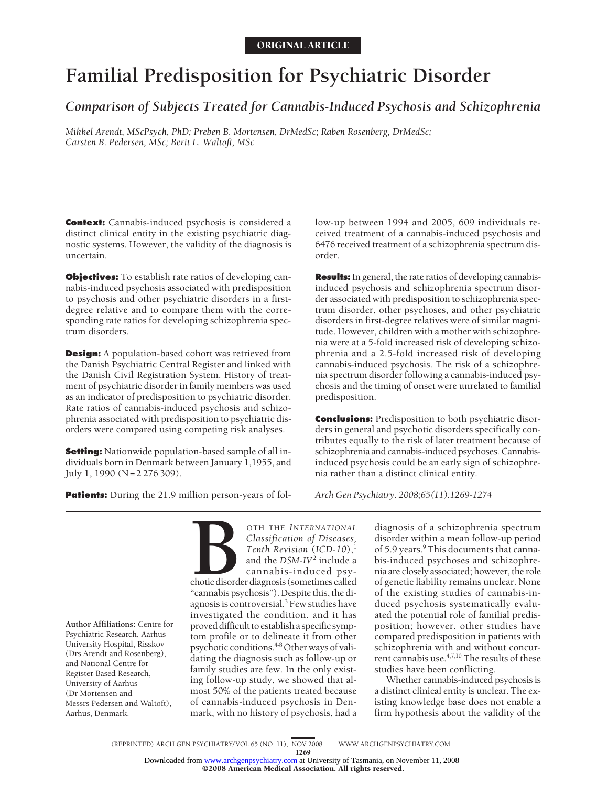# **Familial Predisposition for Psychiatric Disorder**

# *Comparison of Subjects Treated for Cannabis-Induced Psychosis and Schizophrenia*

*Mikkel Arendt, MScPsych, PhD; Preben B. Mortensen, DrMedSc; Raben Rosenberg, DrMedSc; Carsten B. Pedersen, MSc; Berit L. Waltoft, MSc*

**Context:** Cannabis-induced psychosis is considered a distinct clinical entity in the existing psychiatric diagnostic systems. However, the validity of the diagnosis is uncertain.

**Objectives:** To establish rate ratios of developing cannabis-induced psychosis associated with predisposition to psychosis and other psychiatric disorders in a firstdegree relative and to compare them with the corresponding rate ratios for developing schizophrenia spectrum disorders.

**Design:** A population-based cohort was retrieved from the Danish Psychiatric Central Register and linked with the Danish Civil Registration System. History of treatment of psychiatric disorder in family members was used as an indicator of predisposition to psychiatric disorder. Rate ratios of cannabis-induced psychosis and schizophrenia associated with predisposition to psychiatric disorders were compared using competing risk analyses.

**Setting:** Nationwide population-based sample of all individuals born in Denmark between January 1,1955, and July 1, 1990 (N=2 276 309).

**Patients:** During the 21.9 million person-years of fol-

low-up between 1994 and 2005, 609 individuals received treatment of a cannabis-induced psychosis and 6476 received treatment of a schizophrenia spectrum disorder.

**Results:** In general, the rate ratios of developing cannabisinduced psychosis and schizophrenia spectrum disorder associated with predisposition to schizophrenia spectrum disorder, other psychoses, and other psychiatric disorders in first-degree relatives were of similar magnitude. However, children with a mother with schizophrenia were at a 5-fold increased risk of developing schizophrenia and a 2.5-fold increased risk of developing cannabis-induced psychosis. The risk of a schizophrenia spectrum disorder following a cannabis-induced psychosis and the timing of onset were unrelated to familial predisposition.

**Conclusions:** Predisposition to both psychiatric disorders in general and psychotic disorders specifically contributes equally to the risk of later treatment because of schizophrenia and cannabis-induced psychoses. Cannabisinduced psychosis could be an early sign of schizophrenia rather than a distinct clinical entity.

*Arch Gen Psychiatry. 2008;65(11):1269-1274*

**Author Affiliations:** Centre for Psychiatric Research, Aarhus University Hospital, Risskov (Drs Arendt and Rosenberg), and National Centre for Register-Based Research, University of Aarhus (Dr Mortensen and Messrs Pedersen and Waltoft), Aarhus, Denmark.

OTH THE *INTERNATIONAL*<br>Classification of Diseases,<br>*Tenth Revision* (ICD-10),<sup>1</sup><br>and the DSM-IV<sup>2</sup> include a<br>cannabis-induced psy-<br>chotic disorder diagnosis (sometimes called<br>"cannabis psychosis"). Despite this, the di-*Classification of Diseases, Tenth Revision* (*ICD-10*),1 and the *DSM-IV*<sup>2</sup> include a cannabis-induced psychotic disorder diagnosis (sometimes called "cannabis psychosis"). Despite this, the diagnosis is controversial.3 Few studies have investigated the condition, and it has proved difficult to establish a specific symptom profile or to delineate it from other psychotic conditions.<sup>4-8</sup> Other ways of validating the diagnosis such as follow-up or family studies are few. In the only existing follow-up study, we showed that almost 50% of the patients treated because of cannabis-induced psychosis in Denmark, with no history of psychosis, had a

diagnosis of a schizophrenia spectrum disorder within a mean follow-up period of 5.9 years.<sup>9</sup> This documents that cannabis-induced psychoses and schizophrenia are closely associated; however, the role of genetic liability remains unclear. None of the existing studies of cannabis-induced psychosis systematically evaluated the potential role of familial predisposition; however, other studies have compared predisposition in patients with schizophrenia with and without concurrent cannabis use.4,7,10 The results of these studies have been conflicting.

Whether cannabis-induced psychosis is a distinct clinical entity is unclear. The existing knowledge base does not enable a firm hypothesis about the validity of the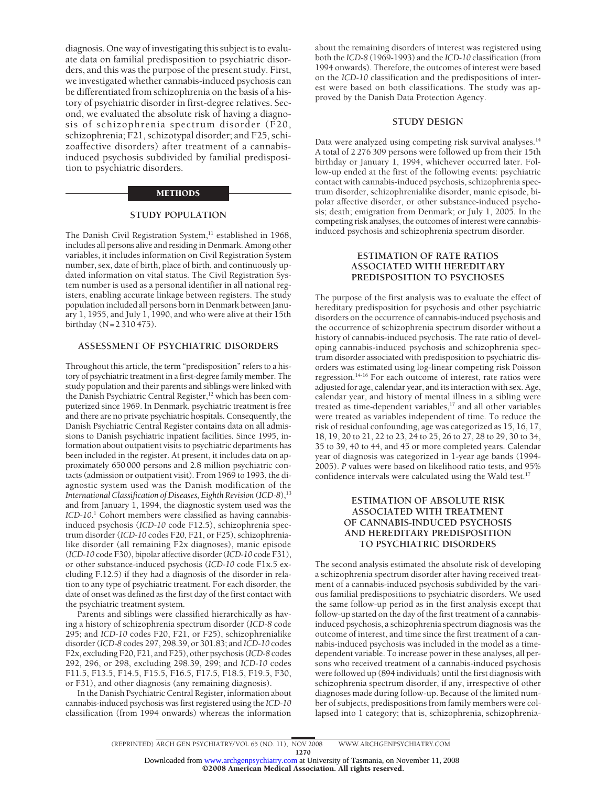diagnosis. One way of investigating this subject is to evaluate data on familial predisposition to psychiatric disorders, and this was the purpose of the present study. First, we investigated whether cannabis-induced psychosis can be differentiated from schizophrenia on the basis of a history of psychiatric disorder in first-degree relatives. Second, we evaluated the absolute risk of having a diagnosis of schizophrenia spectrum disorder (F20, schizophrenia; F21, schizotypal disorder; and F25, schizoaffective disorders) after treatment of a cannabisinduced psychosis subdivided by familial predisposition to psychiatric disorders.

#### METHODS

#### **STUDY POPULATION**

The Danish Civil Registration System,<sup>11</sup> established in 1968, includes all persons alive and residing in Denmark. Among other variables, it includes information on Civil Registration System number, sex, date of birth, place of birth, and continuously updated information on vital status. The Civil Registration System number is used as a personal identifier in all national registers, enabling accurate linkage between registers. The study population included all persons born in Denmark between January 1, 1955, and July 1, 1990, and who were alive at their 15th birthday  $(N=2310475)$ .

#### **ASSESSMENT OF PSYCHIATRIC DISORDERS**

Throughout this article, the term "predisposition" refers to a history of psychiatric treatment in a first-degree family member. The study population and their parents and siblings were linked with the Danish Psychiatric Central Register,<sup>12</sup> which has been computerized since 1969. In Denmark, psychiatric treatment is free and there are no private psychiatric hospitals. Consequently, the Danish Psychiatric Central Register contains data on all admissions to Danish psychiatric inpatient facilities. Since 1995, information about outpatient visits to psychiatric departments has been included in the register. At present, it includes data on approximately 650 000 persons and 2.8 million psychiatric contacts (admission or outpatient visit). From 1969 to 1993, the diagnostic system used was the Danish modification of the *International Classification of Diseases, Eighth Revision* (*ICD-8*),<sup>13</sup> and from January 1, 1994, the diagnostic system used was the ICD-10.<sup>1</sup> Cohort members were classified as having cannabisinduced psychosis (*ICD-10* code F12.5), schizophrenia spectrum disorder (*ICD-10* codes F20, F21, or F25), schizophrenialike disorder (all remaining F2x diagnoses), manic episode (*ICD-10* code F30), bipolar affective disorder (*ICD-10* code F31), or other substance-induced psychosis (*ICD-10* code F1x.5 excluding F.12.5) if they had a diagnosis of the disorder in relation to any type of psychiatric treatment. For each disorder, the date of onset was defined as the first day of the first contact with the psychiatric treatment system.

Parents and siblings were classified hierarchically as having a history of schizophrenia spectrum disorder (*ICD-8* code 295; and *ICD-10* codes F20, F21, or F25), schizophrenialike disorder (*ICD-8* codes 297, 298.39, or 301.83; and *ICD-10* codes F2x, excluding F20, F21, and F25), other psychosis (*ICD-8* codes 292, 296, or 298, excluding 298.39, 299; and *ICD-10* codes F11.5, F13.5, F14.5, F15.5, F16.5, F17.5, F18.5, F19.5, F30, or F31), and other diagnosis (any remaining diagnosis).

In the Danish Psychiatric Central Register, information about cannabis-induced psychosis was first registered using the *ICD-10* classification (from 1994 onwards) whereas the information about the remaining disorders of interest was registered using both the *ICD-8* (1969-1993) and the *ICD-10* classification (from 1994 onwards). Therefore, the outcomes of interest were based on the *ICD-10* classification and the predispositions of interest were based on both classifications. The study was approved by the Danish Data Protection Agency.

#### **STUDY DESIGN**

Data were analyzed using competing risk survival analyses.<sup>14</sup> A total of 2 276 309 persons were followed up from their 15th birthday or January 1, 1994, whichever occurred later. Follow-up ended at the first of the following events: psychiatric contact with cannabis-induced psychosis, schizophrenia spectrum disorder, schizophrenialike disorder, manic episode, bipolar affective disorder, or other substance-induced psychosis; death; emigration from Denmark; or July 1, 2005. In the competing risk analyses, the outcomes of interest were cannabisinduced psychosis and schizophrenia spectrum disorder.

## **ESTIMATION OF RATE RATIOS ASSOCIATED WITH HEREDITARY PREDISPOSITION TO PSYCHOSES**

The purpose of the first analysis was to evaluate the effect of hereditary predisposition for psychosis and other psychiatric disorders on the occurrence of cannabis-induced psychosis and the occurrence of schizophrenia spectrum disorder without a history of cannabis-induced psychosis. The rate ratio of developing cannabis-induced psychosis and schizophrenia spectrum disorder associated with predisposition to psychiatric disorders was estimated using log-linear competing risk Poisson regression.14-16 For each outcome of interest, rate ratios were adjusted for age, calendar year, and its interaction with sex. Age, calendar year, and history of mental illness in a sibling were treated as time-dependent variables, $17$  and all other variables were treated as variables independent of time. To reduce the risk of residual confounding, age was categorized as 15, 16, 17, 18, 19, 20 to 21, 22 to 23, 24 to 25, 26 to 27, 28 to 29, 30 to 34, 35 to 39, 40 to 44, and 45 or more completed years. Calendar year of diagnosis was categorized in 1-year age bands (1994- 2005). *P* values were based on likelihood ratio tests, and 95% confidence intervals were calculated using the Wald test.<sup>17</sup>

# **ESTIMATION OF ABSOLUTE RISK ASSOCIATED WITH TREATMENT OF CANNABIS-INDUCED PSYCHOSIS AND HEREDITARY PREDISPOSITION TO PSYCHIATRIC DISORDERS**

The second analysis estimated the absolute risk of developing a schizophrenia spectrum disorder after having received treatment of a cannabis-induced psychosis subdivided by the various familial predispositions to psychiatric disorders. We used the same follow-up period as in the first analysis except that follow-up started on the day of the first treatment of a cannabisinduced psychosis, a schizophrenia spectrum diagnosis was the outcome of interest, and time since the first treatment of a cannabis-induced psychosis was included in the model as a timedependent variable. To increase power in these analyses, all persons who received treatment of a cannabis-induced psychosis were followed up (894 individuals) until the first diagnosis with schizophrenia spectrum disorder, if any, irrespective of other diagnoses made during follow-up. Because of the limited number of subjects, predispositions from family members were collapsed into 1 category; that is, schizophrenia, schizophrenia-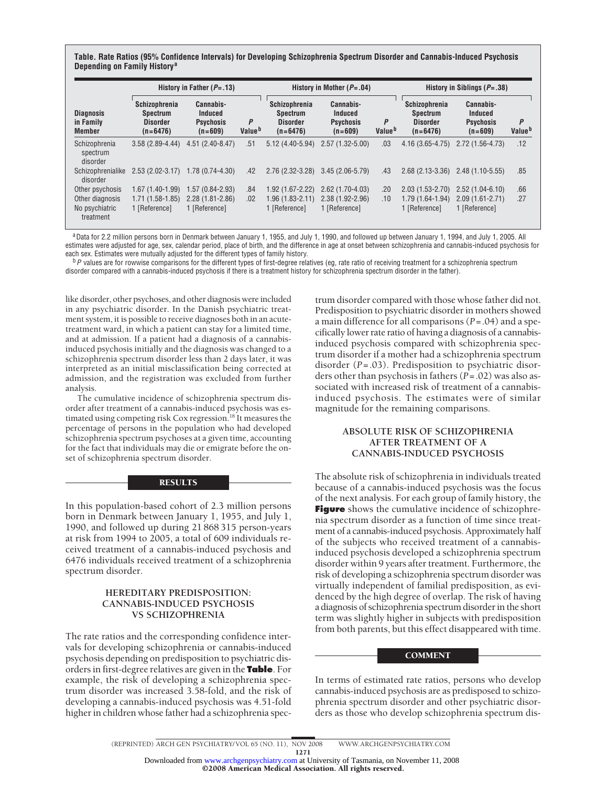**Table. Rate Ratios (95% Confidence Intervals) for Developing Schizophrenia Spectrum Disorder and Cannabis-Induced Psychosis Depending on Family History<sup>a</sup>**

|                                                |                                                                   | History in Father $(P=.13)$                                    |                         | History in Mother $(P=.04)$                                              |                                                                |                         | History in Siblings $(P=.38)$                                            |                                                              |                         |
|------------------------------------------------|-------------------------------------------------------------------|----------------------------------------------------------------|-------------------------|--------------------------------------------------------------------------|----------------------------------------------------------------|-------------------------|--------------------------------------------------------------------------|--------------------------------------------------------------|-------------------------|
| <b>Diagnosis</b><br>in Family<br><b>Member</b> | Schizophrenia<br><b>Spectrum</b><br><b>Disorder</b><br>$(n=6476)$ | Cannabis-<br><b>Induced</b><br><b>Psychosis</b><br>$(n = 609)$ | P<br>Value <sup>b</sup> | <b>Schizophrenia</b><br><b>Spectrum</b><br><b>Disorder</b><br>$(n=6476)$ | Cannabis-<br><b>Induced</b><br><b>Psychosis</b><br>$(n = 609)$ | P<br>Value <sup>b</sup> | <b>Schizophrenia</b><br><b>Spectrum</b><br><b>Disorder</b><br>$(n=6476)$ | Cannabis-<br><b>Induced</b><br><b>Psychosis</b><br>$(n=609)$ | P<br>Value <sup>b</sup> |
| Schizophrenia<br>spectrum<br>disorder          | $3.58(2.89 - 4.44)$                                               | 4.51<br>$(2.40 - 8.47)$                                        | .51                     | 5.12 (4.40-5.94)                                                         | $2.57(1.32 - 5.00)$                                            | .03                     | $4.16(3.65 - 4.75)$                                                      | 2.72 (1.56-4.73)                                             | .12                     |
| Schizophrenialike<br>disorder                  | $2.53(2.02 - 3.17)$                                               | $1.78(0.74-4.30)$                                              | .42                     | $2.76(2.32-3.28)$                                                        | $3.45(2.06-5.79)$                                              | .43                     | $2.68(2.13-3.36)$                                                        | $2.48(1.10-5.55)$                                            | .85                     |
| Other psychosis                                | $1.67(1.40-1.99)$                                                 | $1.57(0.84 - 2.93)$                                            | .84                     | 1.92 (1.67-2.22)                                                         | $2.62(1.70-4.03)$                                              | .20                     | $2.03(1.53 - 2.70)$                                                      | $2.52(1.04-6.10)$                                            | .66                     |
| Other diagnosis<br>No psychiatric<br>treatment | $1.71(1.58-1.85)$<br>1 [Reference]                                | $2.28(1.81 - 2.86)$<br>1 [Reference]                           | .02                     | $1.96(1.83 - 2.11)$<br>1 [Reference]                                     | $2.38(1.92 - 2.96)$<br>1 [Reference]                           | .10                     | 1.79 (1.64-1.94)<br>1 [Reference]                                        | $2.09(1.61 - 2.71)$<br>1 [Reference]                         | .27                     |

aData for 2.2 million persons born in Denmark between January 1, 1955, and July 1, 1990, and followed up between January 1, 1994, and July 1, 2005. All estimates were adjusted for age, sex, calendar period, place of birth, and the difference in age at onset between schizophrenia and cannabis-induced psychosis for<br>each sex. Estimates were mutually adjusted for the differen

b P values are for rowwise comparisons for the different types of first-degree relatives (eg, rate ratio of receiving treatment for a schizophrenia spectrum disorder compared with a cannabis-induced psychosis if there is a treatment history for schizophrenia spectrum disorder in the father).

like disorder, other psychoses, and other diagnosis were included in any psychiatric disorder. In the Danish psychiatric treatment system, it is possible to receive diagnoses both in an acutetreatment ward, in which a patient can stay for a limited time, and at admission. If a patient had a diagnosis of a cannabisinduced psychosis initially and the diagnosis was changed to a schizophrenia spectrum disorder less than 2 days later, it was interpreted as an initial misclassification being corrected at admission, and the registration was excluded from further analysis.

The cumulative incidence of schizophrenia spectrum disorder after treatment of a cannabis-induced psychosis was estimated using competing risk Cox regression.18 It measures the percentage of persons in the population who had developed schizophrenia spectrum psychoses at a given time, accounting for the fact that individuals may die or emigrate before the onset of schizophrenia spectrum disorder.

#### **RESULTS**

In this population-based cohort of 2.3 million persons born in Denmark between January 1, 1955, and July 1, 1990, and followed up during 21 868 315 person-years at risk from 1994 to 2005, a total of 609 individuals received treatment of a cannabis-induced psychosis and 6476 individuals received treatment of a schizophrenia spectrum disorder.

# **HEREDITARY PREDISPOSITION: CANNABIS-INDUCED PSYCHOSIS VS SCHIZOPHRENIA**

The rate ratios and the corresponding confidence intervals for developing schizophrenia or cannabis-induced psychosis depending on predisposition to psychiatric disorders in first-degree relatives are given in the **Table**. For example, the risk of developing a schizophrenia spectrum disorder was increased 3.58-fold, and the risk of developing a cannabis-induced psychosis was 4.51-fold higher in children whose father had a schizophrenia spec-

trum disorder compared with those whose father did not. Predisposition to psychiatric disorder in mothers showed a main difference for all comparisons (*P*=.04) and a specifically lower rate ratio of having a diagnosis of a cannabisinduced psychosis compared with schizophrenia spectrum disorder if a mother had a schizophrenia spectrum disorder (*P*=.03). Predisposition to psychiatric disorders other than psychosis in fathers (*P*=.02) was also associated with increased risk of treatment of a cannabisinduced psychosis. The estimates were of similar magnitude for the remaining comparisons.

#### **ABSOLUTE RISK OF SCHIZOPHRENIA AFTER TREATMENT OF A CANNABIS-INDUCED PSYCHOSIS**

The absolute risk of schizophrenia in individuals treated because of a cannabis-induced psychosis was the focus of the next analysis. For each group of family history, the **Figure** shows the cumulative incidence of schizophrenia spectrum disorder as a function of time since treatment of a cannabis-induced psychosis. Approximately half of the subjects who received treatment of a cannabisinduced psychosis developed a schizophrenia spectrum disorder within 9 years after treatment. Furthermore, the risk of developing a schizophrenia spectrum disorder was virtually independent of familial predisposition, as evidenced by the high degree of overlap. The risk of having a diagnosis of schizophrenia spectrum disorder in the short term was slightly higher in subjects with predisposition from both parents, but this effect disappeared with time.

#### COMMENT

In terms of estimated rate ratios, persons who develop cannabis-induced psychosis are as predisposed to schizophrenia spectrum disorder and other psychiatric disorders as those who develop schizophrenia spectrum dis-

<sup>(</sup>REPRINTED) ARCH GEN PSYCHIATRY/ VOL 65 (NO. 11), NOV 2008 WWW.ARCHGENPSYCHIATRY.COM 1271 ©2008 American Medical Association. All rights reserved. Downloaded from [www.archgenpsychiatry.com](http://www.archgenpsychiatry.com) at University of Tasmania, on November 11, 2008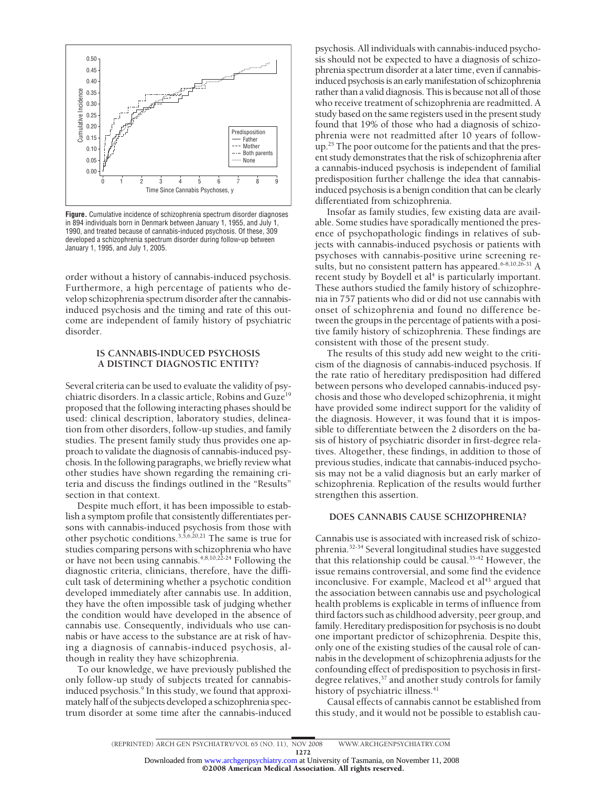

**Figure.** Cumulative incidence of schizophrenia spectrum disorder diagnoses in 894 individuals born in Denmark between January 1, 1955, and July 1, 1990, and treated because of cannabis-induced psychosis. Of these, 309 developed a schizophrenia spectrum disorder during follow-up between January 1, 1995, and July 1, 2005.

order without a history of cannabis-induced psychosis. Furthermore, a high percentage of patients who develop schizophrenia spectrum disorder after the cannabisinduced psychosis and the timing and rate of this outcome are independent of family history of psychiatric disorder.

## **IS CANNABIS-INDUCED PSYCHOSIS A DISTINCT DIAGNOSTIC ENTITY?**

Several criteria can be used to evaluate the validity of psychiatric disorders. In a classic article, Robins and Guze<sup>19</sup> proposed that the following interacting phases should be used: clinical description, laboratory studies, delineation from other disorders, follow-up studies, and family studies. The present family study thus provides one approach to validate the diagnosis of cannabis-induced psychosis. In the following paragraphs, we briefly review what other studies have shown regarding the remaining criteria and discuss the findings outlined in the "Results" section in that context.

Despite much effort, it has been impossible to establish a symptom profile that consistently differentiates persons with cannabis-induced psychosis from those with other psychotic conditions.3,5,6,20,21 The same is true for studies comparing persons with schizophrenia who have or have not been using cannabis.<sup>4,8,10,22-24</sup> Following the diagnostic criteria, clinicians, therefore, have the difficult task of determining whether a psychotic condition developed immediately after cannabis use. In addition, they have the often impossible task of judging whether the condition would have developed in the absence of cannabis use. Consequently, individuals who use cannabis or have access to the substance are at risk of having a diagnosis of cannabis-induced psychosis, although in reality they have schizophrenia.

To our knowledge, we have previously published the only follow-up study of subjects treated for cannabisinduced psychosis.<sup>9</sup> In this study, we found that approximately half of the subjects developed a schizophrenia spectrum disorder at some time after the cannabis-induced

psychosis. All individuals with cannabis-induced psychosis should not be expected to have a diagnosis of schizophrenia spectrum disorder at a later time, even if cannabisinduced psychosis is an early manifestation of schizophrenia rather than a valid diagnosis. This is because not all of those who receive treatment of schizophrenia are readmitted. A study based on the same registers used in the present study found that 19% of those who had a diagnosis of schizophrenia were not readmitted after 10 years of followup.25 The poor outcome for the patients and that the present study demonstrates that the risk of schizophrenia after a cannabis-induced psychosis is independent of familial predisposition further challenge the idea that cannabisinduced psychosis is a benign condition that can be clearly differentiated from schizophrenia.

Insofar as family studies, few existing data are available. Some studies have sporadically mentioned the presence of psychopathologic findings in relatives of subjects with cannabis-induced psychosis or patients with psychoses with cannabis-positive urine screening results, but no consistent pattern has appeared.<sup>6-8,10,26-31</sup> A recent study by Boydell et al<sup>4</sup> is particularly important. These authors studied the family history of schizophrenia in 757 patients who did or did not use cannabis with onset of schizophrenia and found no difference between the groups in the percentage of patients with a positive family history of schizophrenia. These findings are consistent with those of the present study.

The results of this study add new weight to the criticism of the diagnosis of cannabis-induced psychosis. If the rate ratio of hereditary predisposition had differed between persons who developed cannabis-induced psychosis and those who developed schizophrenia, it might have provided some indirect support for the validity of the diagnosis. However, it was found that it is impossible to differentiate between the 2 disorders on the basis of history of psychiatric disorder in first-degree relatives. Altogether, these findings, in addition to those of previous studies, indicate that cannabis-induced psychosis may not be a valid diagnosis but an early marker of schizophrenia. Replication of the results would further strengthen this assertion.

# **DOES CANNABIS CAUSE SCHIZOPHRENIA?**

Cannabis use is associated with increased risk of schizophrenia.32-34 Several longitudinal studies have suggested that this relationship could be causal. $35-42$  However, the issue remains controversial, and some find the evidence inconclusive. For example, Macleod et  $al<sup>43</sup>$  argued that the association between cannabis use and psychological health problems is explicable in terms of influence from third factors such as childhood adversity, peer group, and family. Hereditary predisposition for psychosis is no doubt one important predictor of schizophrenia. Despite this, only one of the existing studies of the causal role of cannabis in the development of schizophrenia adjusts for the confounding effect of predisposition to psychosis in firstdegree relatives,<sup>37</sup> and another study controls for family history of psychiatric illness.<sup>41</sup>

Causal effects of cannabis cannot be established from this study, and it would not be possible to establish cau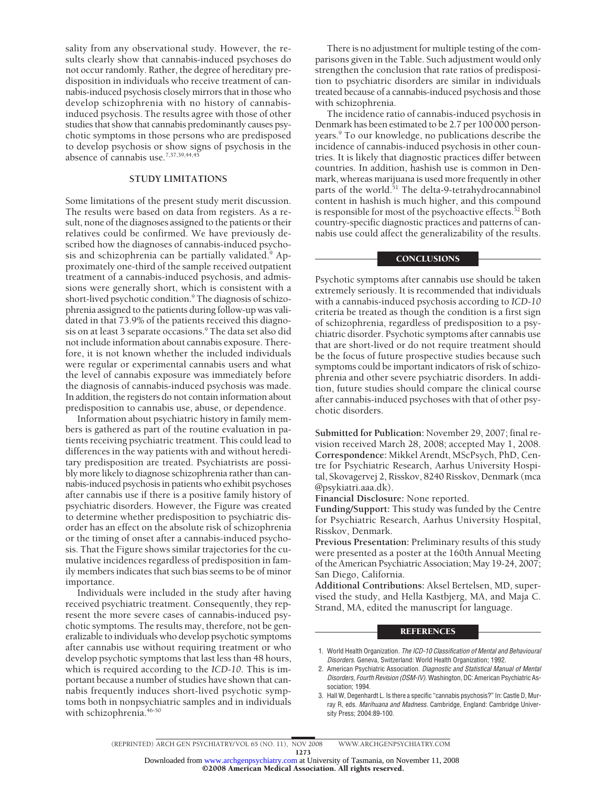sality from any observational study. However, the results clearly show that cannabis-induced psychoses do not occur randomly. Rather, the degree of hereditary predisposition in individuals who receive treatment of cannabis-induced psychosis closely mirrors that in those who develop schizophrenia with no history of cannabisinduced psychosis. The results agree with those of other studies that show that cannabis predominantly causes psychotic symptoms in those persons who are predisposed to develop psychosis or show signs of psychosis in the absence of cannabis use.7,37,39,44,45

# **STUDY LIMITATIONS**

Some limitations of the present study merit discussion. The results were based on data from registers. As a result, none of the diagnoses assigned to the patients or their relatives could be confirmed. We have previously described how the diagnoses of cannabis-induced psychosis and schizophrenia can be partially validated.<sup>9</sup> Approximately one-third of the sample received outpatient treatment of a cannabis-induced psychosis, and admissions were generally short, which is consistent with a short-lived psychotic condition.<sup>9</sup> The diagnosis of schizophrenia assigned to the patients during follow-up was validated in that 73.9% of the patients received this diagnosis on at least 3 separate occasions.<sup>9</sup> The data set also did not include information about cannabis exposure. Therefore, it is not known whether the included individuals were regular or experimental cannabis users and what the level of cannabis exposure was immediately before the diagnosis of cannabis-induced psychosis was made. In addition, the registers do not contain information about predisposition to cannabis use, abuse, or dependence.

Information about psychiatric history in family members is gathered as part of the routine evaluation in patients receiving psychiatric treatment. This could lead to differences in the way patients with and without hereditary predisposition are treated. Psychiatrists are possibly more likely to diagnose schizophrenia rather than cannabis-induced psychosis in patients who exhibit psychoses after cannabis use if there is a positive family history of psychiatric disorders. However, the Figure was created to determine whether predisposition to psychiatric disorder has an effect on the absolute risk of schizophrenia or the timing of onset after a cannabis-induced psychosis. That the Figure shows similar trajectories for the cumulative incidences regardless of predisposition in family members indicates that such bias seems to be of minor importance.

Individuals were included in the study after having received psychiatric treatment. Consequently, they represent the more severe cases of cannabis-induced psychotic symptoms. The results may, therefore, not be generalizable to individuals who develop psychotic symptoms after cannabis use without requiring treatment or who develop psychotic symptoms that last less than 48 hours, which is required according to the *ICD-10*. This is important because a number of studies have shown that cannabis frequently induces short-lived psychotic symptoms both in nonpsychiatric samples and in individuals with schizophrenia.<sup>46-50</sup>

There is no adjustment for multiple testing of the comparisons given in the Table. Such adjustment would only strengthen the conclusion that rate ratios of predisposition to psychiatric disorders are similar in individuals treated because of a cannabis-induced psychosis and those with schizophrenia.

The incidence ratio of cannabis-induced psychosis in Denmark has been estimated to be 2.7 per 100 000 personyears.9 To our knowledge, no publications describe the incidence of cannabis-induced psychosis in other countries. It is likely that diagnostic practices differ between countries. In addition, hashish use is common in Denmark, whereas marijuana is used more frequently in other parts of the world.<sup>51</sup> The delta-9-tetrahydrocannabinol content in hashish is much higher, and this compound is responsible for most of the psychoactive effects.<sup>52</sup> Both country-specific diagnostic practices and patterns of cannabis use could affect the generalizability of the results.

#### CONCLUSIONS

Psychotic symptoms after cannabis use should be taken extremely seriously. It is recommended that individuals with a cannabis-induced psychosis according to *ICD-10* criteria be treated as though the condition is a first sign of schizophrenia, regardless of predisposition to a psychiatric disorder. Psychotic symptoms after cannabis use that are short-lived or do not require treatment should be the focus of future prospective studies because such symptoms could be important indicators of risk of schizophrenia and other severe psychiatric disorders. In addition, future studies should compare the clinical course after cannabis-induced psychoses with that of other psychotic disorders.

**Submitted for Publication:** November 29, 2007; final revision received March 28, 2008; accepted May 1, 2008. **Correspondence:** Mikkel Arendt, MScPsych, PhD, Centre for Psychiatric Research, Aarhus University Hospital, Skovagervej 2, Risskov, 8240 Risskov, Denmark (mca @psykiatri.aaa.dk).

**Financial Disclosure:** None reported.

**Funding/Support:** This study was funded by the Centre for Psychiatric Research, Aarhus University Hospital, Risskov, Denmark.

**Previous Presentation:** Preliminary results of this study were presented as a poster at the 160th Annual Meeting of the American Psychiatric Association; May 19-24, 2007; San Diego, California.

**Additional Contributions:** Aksel Bertelsen, MD, supervised the study, and Hella Kastbjerg, MA, and Maja C. Strand, MA, edited the manuscript for language.

#### **REFERENCES**

- 1. World Health Organization. *The ICD-10 Classification of Mental and Behavioural Disorders.* Geneva, Switzerland: World Health Organization; 1992.
- 2. American Psychiatric Association. *Diagnostic and Statistical Manual of Mental Disorders, Fourth Revision (DSM-IV).* Washington, DC: American Psychiatric Association: 1994
- 3. Hall W, Degenhardt L. Is there a specific "cannabis psychosis?" In: Castle D, Murray R, eds. *Marihuana and Madness.* Cambridge, England: Cambridge University Press; 2004:89-100.

1273